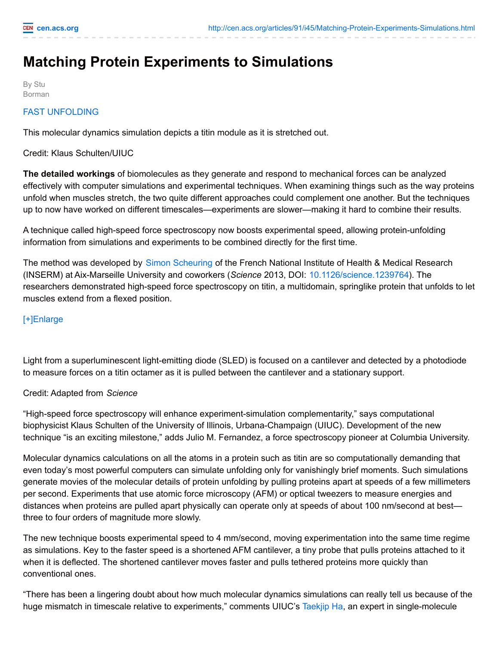## **Matching Protein Experiments to Simulations**

By Stu Borman

## FAST [UNFOLDING](http://cen.acs.org/media/video/2013/10/cen-09145-notw6-video1-vid100.html)

This molecular dynamics simulation depicts a titin module as it is stretched out.

Credit: Klaus Schulten/UIUC

**The detailed workings** of biomolecules as they generate and respond to mechanical forces can be analyzed effectively with computer simulations and experimental techniques. When examining things such as the way proteins unfold when muscles stretch, the two quite different approaches could complement one another. But the techniques up to now have worked on different timescales—experiments are slower—making it hard to combine their results.

A technique called high-speed force spectroscopy now boosts experimental speed, allowing protein-unfolding information from simulations and experiments to be combined directly for the first time.

The method was developed by Simon [Scheuring](http://u1006-inserm.univ-mrs.fr/index.html) of the French National Institute of Health & Medical Research (INSERM) at Aix-Marseille University and coworkers (*Science* 2013, DOI: [10.1126/science.1239764](http://www.sciencemag.org/content/342/6159/741)). The researchers demonstrated high-speed force spectroscopy on titin, a multidomain, springlike protein that unfolds to let muscles extend from a flexed position.

## [\[+\]Enlarge](javascript:doMediaModal({)

Light from a superluminescent light-emitting diode (SLED) is focused on a cantilever and detected by a photodiode to measure forces on a titin octamer as it is pulled between the cantilever and a stationary support.

## Credit: Adapted from *Science*

"High-speed force spectroscopy will enhance experiment-simulation complementarity," says computational biophysicist Klaus Schulten of the University of Illinois, Urbana-Champaign (UIUC). Development of the new technique "is an exciting milestone," adds Julio M. Fernandez, a force spectroscopy pioneer at Columbia University.

Molecular dynamics calculations on all the atoms in a protein such as titin are so computationally demanding that even today's most powerful computers can simulate unfolding only for vanishingly brief moments. Such simulations generate movies of the molecular details of protein unfolding by pulling proteins apart at speeds of a few millimeters per second. Experiments that use atomic force microscopy (AFM) or optical tweezers to measure energies and distances when proteins are pulled apart physically can operate only at speeds of about 100 nm/second at best three to four orders of magnitude more slowly.

The new technique boosts experimental speed to 4 mm/second, moving experimentation into the same time regime as simulations. Key to the faster speed is a shortened AFM cantilever, a tiny probe that pulls proteins attached to it when it is deflected. The shortened cantilever moves faster and pulls tethered proteins more quickly than conventional ones.

"There has been a lingering doubt about how much molecular dynamics simulations can really tell us because of the huge mismatch in timescale relative to experiments," comments UIUC's [Taekjip](http://physics.illinois.edu/people/profile.asp?tjha) Ha, an expert in single-molecule